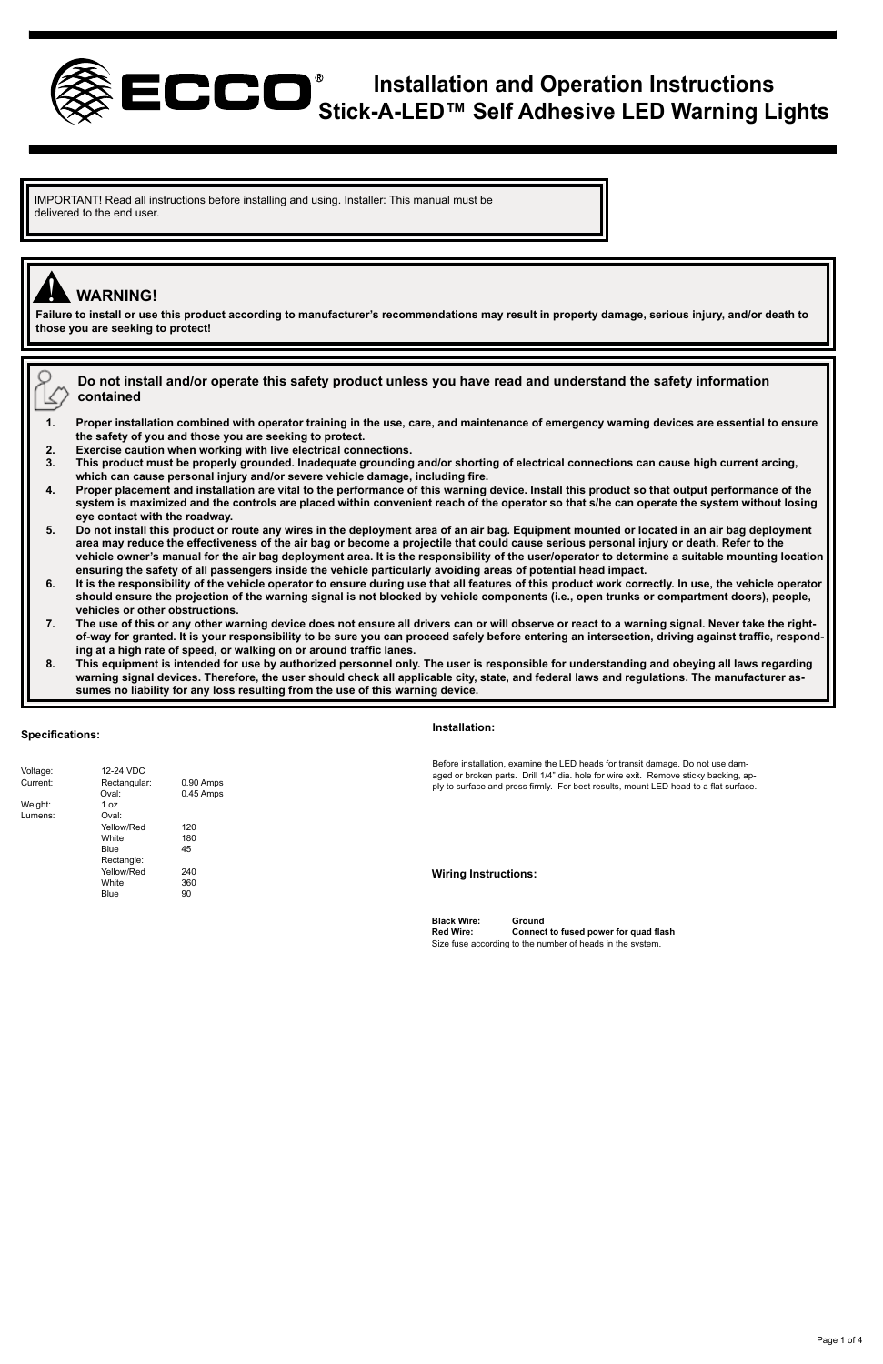

## **Installation and Operation Instructions Stick-A-LED™ Self Adhesive LED Warning Lights**

IMPORTANT! Read all instructions before installing and using. Installer: This manual must be delivered to the end user.

# ! **WARNING!**

O k

**Failure to install or use this product according to manufacturer's recommendations may result in property damage, serious injury, and/or death to those you are seeking to protect!** 

**Do not install and/or operate this safety product unless you have read and understand the safety information contained** 

**1. Proper installation combined with operator training in the use, care, and maintenance of emergency warning devices are essential to ensure the safety of you and those you are seeking to protect.**

- **2. Exercise caution when working with live electrical connections.**
- **3. This product must be properly grounded. Inadequate grounding and/or shorting of electrical connections can cause high current arcing, which can cause personal injury and/or severe vehicle damage, including fire.**
- **4. Proper placement and installation are vital to the performance of this warning device. Install this product so that output performance of the system is maximized and the controls are placed within convenient reach of the operator so that s/he can operate the system without losing eye contact with the roadway.**
- 5. Do not install this product or route any wires in the deployment area of an air bag. Equipment mounted or located in an air bag deployment<br>area may reduce the effectiveness of the air bag or become a projectile that cou **vehicle owner's manual for the air bag deployment area. It is the responsibility of the user/operator to determine a suitable mounting location ensuring the safety of all passengers inside the vehicle particularly avoiding areas of potential head impact.**
- **6. It is the responsibility of the vehicle operator to ensure during use that all features of this product work correctly. In use, the vehicle operator should ensure the projection of the warning signal is not blocked by vehicle components (i.e., open trunks or compartment doors), people, vehicles or other obstructions.**
- **7. The use of this or any other warning device does not ensure all drivers can or will observe or react to a warning signal. Never take the rightof-way for granted. It is your responsibility to be sure you can proceed safely before entering an intersection, driving against traffic, responding at a high rate of speed, or walking on or around traffic lanes.**
- **8. This equipment is intended for use by authorized personnel only. The user is responsible for understanding and obeying all laws regarding warning signal devices. Therefore, the user should check all applicable city, state, and federal laws and regulations. The manufacturer assumes no liability for any loss resulting from the use of this warning device.**

### **Specifications:**

### **Installation:**

Voltage: 12-24 VDC<br>Current: Rectangular Rectangular: 0.90 Amps<br>Cival: 0.45 Amps 0.45 Amps Weight: 1 oz.<br>Lumens: 0 val: Lumens: yellow/Red 120<br>White 180 White 180<br>Blue 45  $Blue$ Rectangle: Yellow/Red 240<br>White 360 White 36<br>Blue 90 Blue Before installation, examine the LED heads for transit damage. Do not use damaged or broken parts. Drill 1/4" dia. hole for wire exit. Remove sticky backing, ap-ply to surface and press firmly. For best results, mount LED head to a flat surface. **Wiring Instructions:**

**Black Wire: Ground Red Wire: Connect to fused power for quad flash** Size fuse according to the number of heads in the system.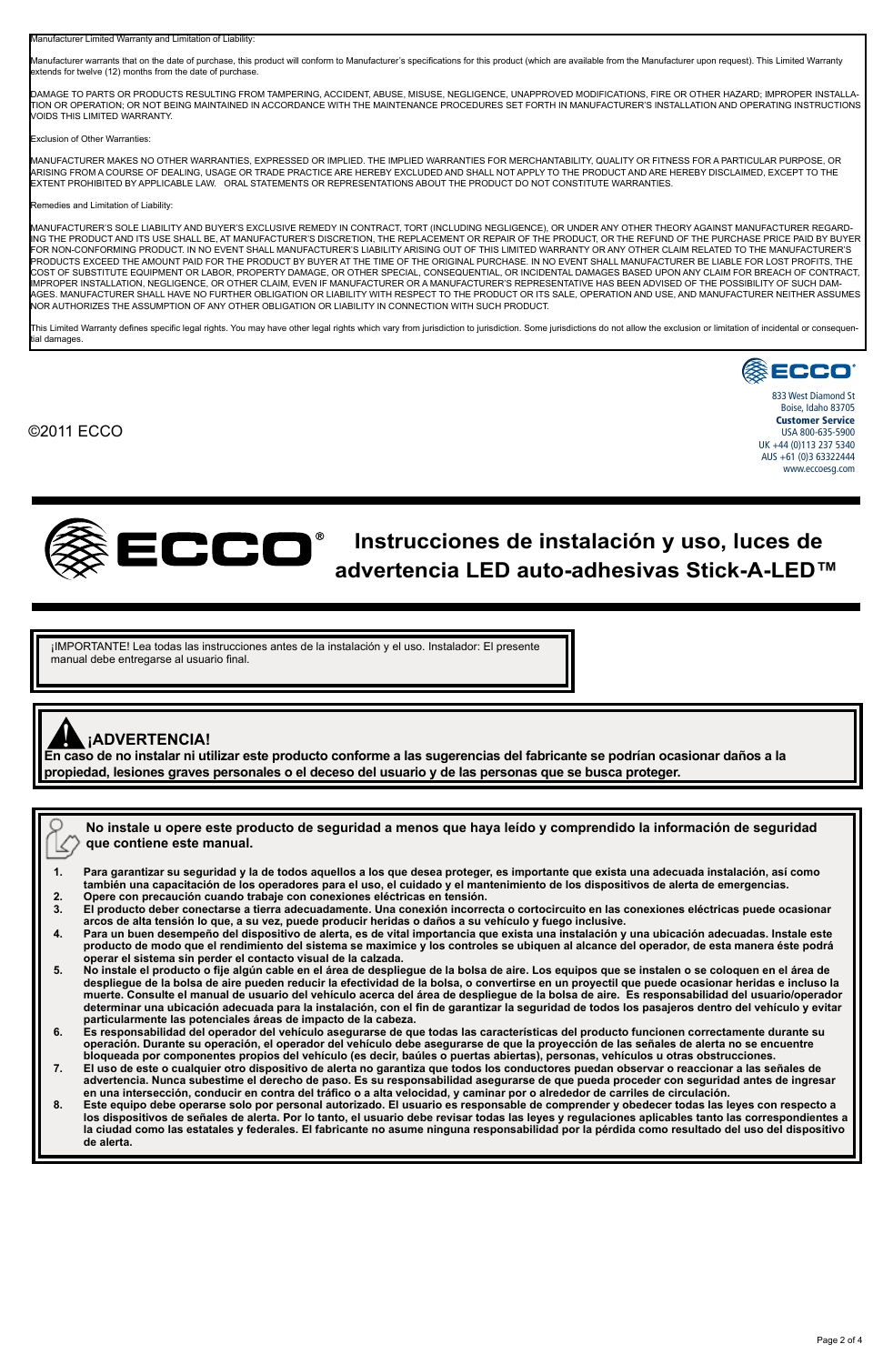Manufacturer Limited Warranty and Limitation of Liability:

Manufacturer warrants that on the date of purchase, this product will conform to Manufacturer's specifications for this product (which are available from the Manufacturer upon request). This Limited Warranty ktends for twelve (12) months from the date of purchas

DAMAGE TO PARTS OR PRODUCTS RESULTING FROM TAMPERING, ACCIDENT, ABUSE, MISUSE, NEGLIGENCE, UNAPPROVED MODIFICATIONS, FIRE OR OTHER HAZARD; IMPROPER INSTALLA-TION OR OPERATION; OR NOT BEING MAINTAINED IN ACCORDANCE WITH THE MAINTENANCE PROCEDURES SET FORTH IN MANUFACTURER'S INSTALLATION AND OPERATING INSTRUCTIONS VOIDS THIS LIMITED WARRANTY.

### Exclusion of Other Warrant

MANUFACTURER MAKES NO OTHER WARRANTIES, EXPRESSED OR IMPLIED. THE IMPLIED WARRANTIES FOR MERCHANTABILITY, QUALITY OR FITNESS FOR A PARTICULAR PURPOSE, OR ARISING FROM A COURSE OF DEALING, USAGE OR TRADE PRACTICE ARE HEREBY EXCLUDED AND SHALL NOT APPLY TO THE PRODUCT AND ARE HEREBY DISCLAIMED, EXCEPT TO THE EXTENT PROHIBITED BY APPLICABLE LAW. ORAL STATEMENTS OR REPRESENTATIONS ABOUT THE PRODUCT DO NOT CONSTITUTE WARRANTIES.

### es and Limitation of Liability

MANUFACTURER'S SOLE LIABILITY AND BUYER'S EXCLUSIVE REMEDY IN CONTRACT, TORT (INCLUDING NEGLIGENCE), OR UNDER ANY OTHER THEORY AGAINST MANUFACTURER REGARD-ING THE PRODUCT AND ITS USE SHALL BE, AT MANUFACTURER'S DISCRETION, THE REPLACEMENT OR REPAIR OF THE PRODUCT, OR THE REFUND OF THE PURCHASE PRICE PAID BY BUYER FOR NON-CONFORMING PRODUCT. IN NO EVENT SHALL MANUFACTURER'S LIABILITY ARISINTED WARD WARRANTY OR ANY OTHER CLAM RELATED TO THE MANUFACTURER'S THE MANUFACTURER'S THE MANUFACTURER'S THE MANUFACTURER'S ELIABLE FOR LOST PROFI COST OF SUBSTITUTE EQUIPMENT OR LABOR, PROPERTY DAMAGE, OR OTHER SPECIAL, CONSEQUENTIAL, OR INCIDENTAL DAMAGES BASED UPON ANY CLAIM FOR BREACH OF CONTRACT, IMPROPER INSTALLATION, NEGLIGENCE, OR OTHER CLAIM, EVEN IF MANUFACTURER OR A MANUFACTURER'S REPRESENTATIVE HAS BEEN ADVISED OF THE POSSIBILITY OF SUCH DAM-AGES. MANUFACTURER SHALL HAVE NO FURTHER OBLIGATION OR LIABILITY WITH RESPECT TO THE PRODUCT OR ITS SALE, OPERATION AND USE, AND MANUFACTURER NEITHER ASSUMES NOR AUTHORIZES THE ASSUMPTION OF ANY OTHER OBLIGATION OR LIABILITY IN CONNECTION WITH SUCH PRODUCT.

This Limited Warranty defines specific legal rights. You may have other legal rights which vary from jurisdiction to jurisdictions. Some jurisdictions do not allow the exclusion or limitation of incidental or consequently ....<br>ial damages.

## ©2011 ECCO



833 West Diamond St Boise, Idaho 83705 Customer Service USA 800-635-5900 UK +44 (0)113 237 5340 AUS +61 (0)3 63322444 www.eccoesg.com



# **Instrucciones de instalación y uso, luces de advertencia LED auto-adhesivas Stick-A-LED™**

¡IMPORTANTE! Lea todas las instrucciones antes de la instalación y el uso. Instalador: El presente manual debe entregarse al usuario final.

## **¡ADVERTENCIA!**

**En caso de no instalar ni utilizar este producto conforme a las sugerencias del fabricante se podrían ocasionar daños a la**  ! **propiedad, lesiones graves personales o el deceso del usuario y de las personas que se busca proteger.**

**No instale u opere este producto de seguridad a menos que haya leído y comprendido la información de seguridad que contiene este manual.** K,

- **1. Para garantizar su seguridad y la de todos aquellos a los que desea proteger, es importante que exista una adecuada instalación, así como también una capacitación de los operadores para el uso, el cuidado y el mantenimiento de los dispositivos de alerta de emergencias. 2. Opere con precaución cuando trabaje con conexiones eléctricas en tensión.**
- 
- **3. El producto deber conectarse a tierra adecuadamente. Una conexión incorrecta o cortocircuito en las conexiones eléctricas puede ocasionar**
- arcos de alta tensión lo que, a su vez, puede producir heridas o daños a su vehículo y fuego inclusive.<br>Para un buen desempeño del dispositivo de alerta, es de vital importancia que exista una instatación adecuadas. Instal **operar el sistema sin perder el contacto visual de la calzada.**
- 5. No instale el producto o fije algún cable en el área de despliegue de la bolsa de aire. Los equipos que se instalen o se coloquen en el área de<br>despliegue de la bolsa de aire pueden reducir la efectividad de la bolsa, o **muerte. Consulte el manual de usuario del vehículo acerca del área de despliegue de la bolsa de aire. Es responsabilidad del usuario/operador determinar una ubicación adecuada para la instalación, con el fin de garantizar la seguridad de todos los pasajeros dentro del vehículo y evitar particularmente las potenciales áreas de impacto de la cabeza.**
- **6. Es responsabilidad del operador del vehículo asegurarse de que todas las características del producto funcionen correctamente durante su**  operación. Durante su operación, el operador del vehículo debe asegurarse de que la proyección de las señales de alerta no se encuentre<br>bloqueada por componentes propios del vehículo (es decir, baúles o puertas abiertas),
- **7. El uso de este o cualquier otro dispositivo de alerta no garantiza que todos los conductores puedan observar o reaccionar a las señales de**  advertencia. Nunca subestime el derecho de paso. Es su responsabilidad asegurarse de que pueda proceder con seguridad antes de ingresar<br>en una intersección, conducir en contra del tráfico o a alta velocidad, y caminar por
- 8. Este equipo debe operarse solo por personal autorizado. El usuario es responsable de comprender y obedecer todas las leyes con respecto a<br>Ios dispositivos de señales de alerta. Por lo tanto, el usuario debe revisar toda **de alerta.**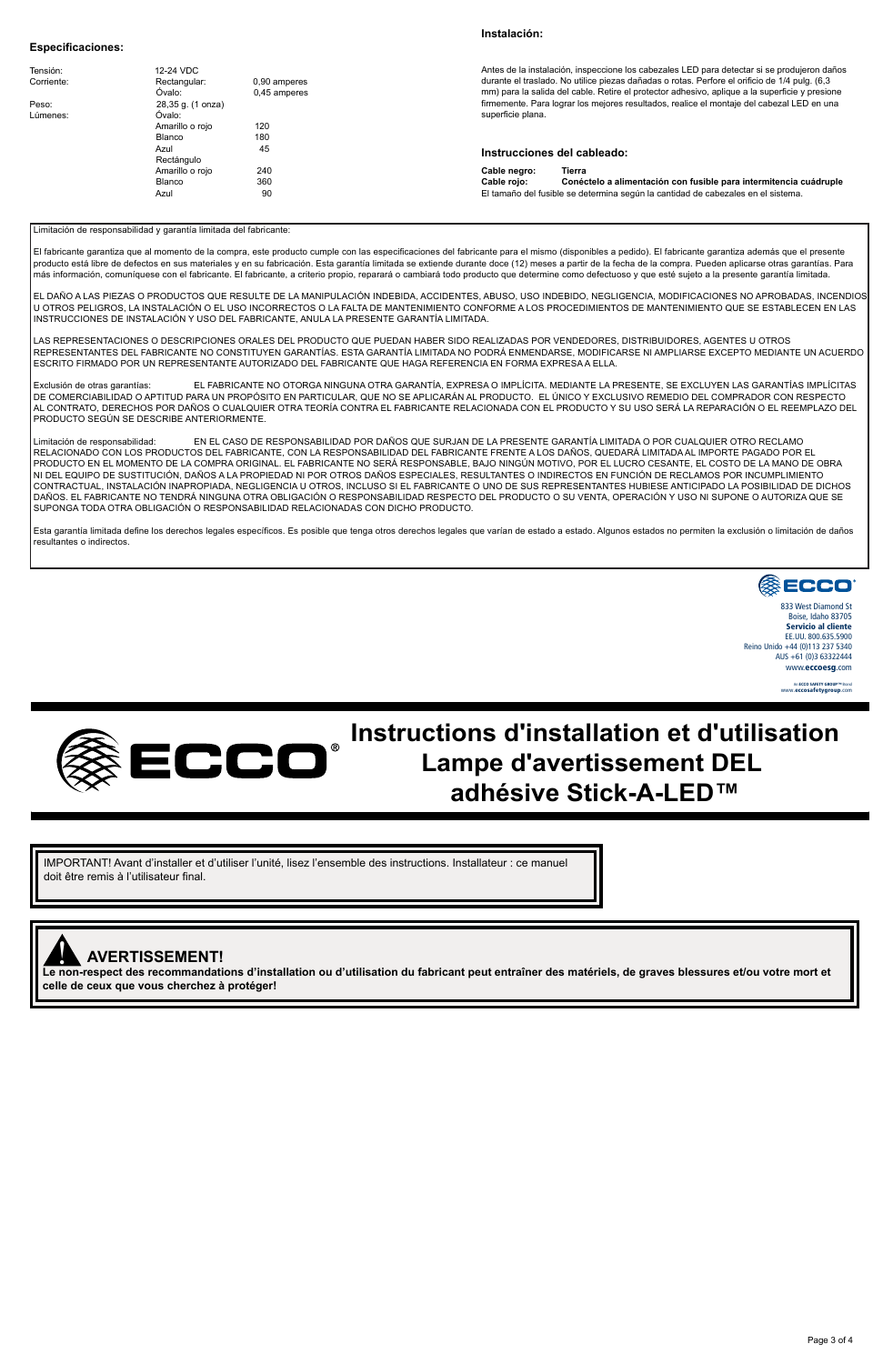### **Especificaciones:**

### **Instalación:**

| Tensión:<br>Corriente: | 12-24 VDC<br>Rectangular:<br>Ovalo: | 0.90 amperes<br>0.45 amperes | Antes de la instalación, inspeccione los cabezales LED para detectar si se produjeron daños<br>durante el traslado. No utilice piezas dañadas o rotas. Perfore el orificio de 1/4 pulg. (6.3)<br>mm) para la salida del cable. Retire el protector adhesivo, aplique a la superficie y presione |  |
|------------------------|-------------------------------------|------------------------------|-------------------------------------------------------------------------------------------------------------------------------------------------------------------------------------------------------------------------------------------------------------------------------------------------|--|
| Peso:                  | 28,35 g. (1 onza)                   |                              | firmemente. Para lograr los mejores resultados, realice el montaje del cabezal LED en una                                                                                                                                                                                                       |  |
| Lúmenes:               | Ovalo:                              |                              | superficie plana.                                                                                                                                                                                                                                                                               |  |
|                        | Amarillo o roio                     | 120                          |                                                                                                                                                                                                                                                                                                 |  |
|                        | Blanco                              | 180                          |                                                                                                                                                                                                                                                                                                 |  |
|                        | Azul                                | 45                           | Instrucciones del cableado:                                                                                                                                                                                                                                                                     |  |
|                        | Rectángulo                          |                              |                                                                                                                                                                                                                                                                                                 |  |
|                        | Amarillo o roio                     | 240                          | Cable negro:<br>Tierra                                                                                                                                                                                                                                                                          |  |
|                        | Blanco                              | 360                          | Conéctelo a alimentación con fusible para intermitencia cuádruple<br>Cable roio:                                                                                                                                                                                                                |  |
|                        | Azul                                | 90                           | El tamaño del fusible se determina según la cantidad de cabezales en el sistema.                                                                                                                                                                                                                |  |

### Limitación de responsabilidad y garantía limitada del fabricante:

El fabricante garantza que al momento de la compra, este producto cum el constante para el mismo disponibles a<br>producto está libre de defectos en sus materiales y en su fabrica de fabrica de secundada en el de de comprada más información, comuníquese con el fabricante. El fabricante, a criterio propio, reparará o cambiará todo producto que determine como defectuoso y que esté sujeto a la presente garantía limitad

EL DAÑO A LAS PIEZAS O PRODUCTOS QUE RESULTE DE LA MANIPULACIÓN INDEBIDA, ACCIDENTES, ABUSO, USO INDEBIDO, NEGLIGENCIA, MODIFICACIONES NO APROBADAS, INCENDIOS U OTROS PELIGROS, LA INSTALACIÓN O EL USO INCORRECTOS O LA FALTA DE MANTENIMIENTO CONFORME A LOS PROCEDIMIENTOS DE MANTENIMIENTO QUE SE ESTABLECEN EN LAS INSTRUCCIONES DE INSTALACIÓN Y USO DEL FABRICANTE, ANULA LA PRESENTE GARANTÍA LIMITADA.

LAS REPRESENTACIONES O DESCRIPCIONES ORALES DEL PRODUCTO QUE PUEDAN HABER SIDO REALIZADAS POR VENDEDORES, DISTRIBUIDORES, AGENTES U OTROS REPRESENTANTES DEL FABRICANTE NO CONSTITUYEN GARANTÍAS. ESTA GARANTÍA LIMITADA NO PODRÁ ENMENDARSE, MODIFICARSE NI AMPLIARSE EXCEPTO MEDIANTE UN ACUERDO ESCRITO FIRMADO POR UN REPRESENTANTE AUTORIZADO DEL FABRICANTE QUE HAGA REFERENCIA EN FORMA EXPRESA A ELLA.

Excusión de oras garanías: EL FABRICANTE NO OTORGA NINGUNA OTRA GARANTIA, EXPRESA O IMPLICITA. MEDIANTE LA PRESENTE, SE EXCLUYEN LAS GARANTIAS IMPLICITAS<br>DE COMERCIABILIDAD O APTITUD PARA UN PROPÓSITO EN PARTICULAR, QUE NO AL CONTRATO, DERECHOS POR DAÑOS O CUALQUIER OTRA TEORÍA CONTRA EL FABRICANTE RELACIONADA CON EL PRODUCTO Y SU USO SERÁ LA REPARACIÓN O EL REEMPLAZO DEL PRODUCTO SEGÚN SE DESCRIBE ANTERIORMENTE.

.<br>ción de responsabilidad: EN EL CASO DE RESPONSABILIDAD POR DAÑOS QUE SURJAN DE LA PRESENTE GARANTÍA LIMITADA O POR CUALQUIER OTRO RECLAMO RELACIONADO CON LOS PRODUCTOS DEL FABRICANTE, CON LA RESPONSABILIDAD DEL FABRICANTE FRENTE A LOS DAÑOS, QUEDARA LIMITADA AL IMPORTE PAGADO POR EL<br>PRODUCTO EN EL MOMENTO DE LA COMPRA ORIGINAL EL FABRICANTE NO SERÁ RESPONSAB CONTRACTUAL, INSTALACION INAPROPIAA, NEGLIGENCIA U OTROS, INCLUSO SI EL FABRICANTE O UNO DE SUS REPRESENTINTES HUBIER ANTICIPADO DE PORHOS DE DICHOS<br>DAÑOS. EL FABRICANTE NO TENDRÁ NINGUNA OTRA OBLIGACIÓN O RESPONSABILIDAD SUPONGA TODA OTRA OBLIGACIÓN O RESPONSABILIDAD RELACIONADAS CON DICHO PRODUCTO.

Esta garantía limitada define los derechos legales específicos. Es posible que tenga otros derechos legales que varían de estado a estado. Algunos estados no permiten la exclusión o limitación de daños resultantes o indirectos.



Servicio al cliente EE.UU. 800.635.5900 Reino Unido +44 (0)113 237 5340 AUS +61 (0)3 63322444 www.eccoesg.com

> An ECCO SAFETY GROUP™ Brand www.eccosafetygroup.com



# **Instructions d'installation et d'utilisation Lampe d'avertissement DEL adhésive Stick-A-LED™**

IMPORTANT! Avant d'installer et d'utiliser l'unité, lisez l'ensemble des instructions. Installateur : ce manuel doit être remis à l'utilisateur final.



## ! **AVERTISSEMENT!**

**Le non-respect des recommandations d'installation ou d'utilisation du fabricant peut entraîner des matériels, de graves blessures et/ou votre mort et celle de ceux que vous cherchez à protéger!**